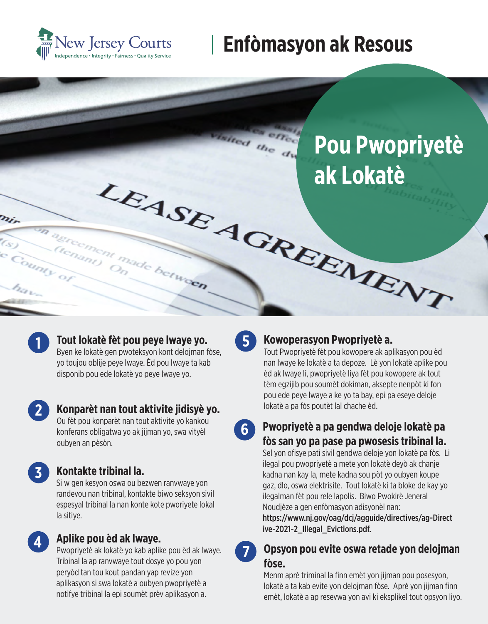

# **Enfòmasyon ak Resous**





#### **Tout lokatè fèt pou peye lwaye yo.**

Byen ke lokatè gen pwoteksyon kont delojman fòse, yo toujou oblije peye lwaye. Èd pou lwaye ta kab disponib pou ede lokatè yo peye lwaye yo.

**2**

#### **Konparèt nan tout aktivite jidisyè yo.**

Ou fèt pou konparèt nan tout aktivite yo kankou konferans obligatwa yo ak jijman yo, swa vityèl oubyen an pèsòn.

**4**

### **3 Kontakte tribinal la.**

Si w gen kesyon oswa ou bezwen ranvwaye yon randevou nan tribinal, kontakte biwo seksyon sivil espesyal tribinal la nan konte kote pworiyete lokal la sitiye.

### **Aplike pou èd ak lwaye.**

Pwopriyetè ak lokatè yo kab aplike pou èd ak lwaye. Tribinal la ap ranvwaye tout dosye yo pou yon peryòd tan tou kout pandan yap revize yon aplikasyon si swa lokatè a oubyen pwopriyetè a notifye tribinal la epi soumèt prèv aplikasyon a.

**5 Kowoperasyon Pwopriyetè a.**

Tout Pwopriyetè fèt pou kowopere ak aplikasyon pou èd nan lwaye ke lokatè a ta depoze. Lè yon lokatè aplike pou èd ak lwaye li, pwopriyetè liya fèt pou kowopere ak tout tèm egzijib pou soumèt dokiman, aksepte nenpòt ki fon pou ede peye lwaye a ke yo ta bay, epi pa eseye deloje lokatè a pa fòs poutèt lal chache èd.

**6 Pwopriyetè a pa gendwa deloje lokatè pa fòs san yo pa pase pa pwosesis tribinal la.** 

> Sel yon ofisye pati sivil gendwa deloje yon lokatè pa fòs. Li ilegal pou pwopriyetè a mete yon lokatè deyò ak chanje kadna nan kay la, mete kadna sou pòt yo oubyen koupe gaz, dlo, oswa elektrisite. Tout lokatè ki ta bloke de kay yo ilegalman fèt pou rele lapolis. Biwo Pwokirè Jeneral Noudjèze a gen enfòmasyon adisyonèl nan:

https://www.nj.gov/oag/dcj/agguide/directives/ag-Direct ive-2021-2\_Illegal\_Evictions.pdf.

#### **7 Opsyon pou evite oswa retade yon delojman fòse.**

Menm aprè triminal la finn emèt yon jijman pou posesyon, lokatè a ta kab evite yon delojman fòse. Aprè yon jijman finn emèt, lokatè a ap resevwa yon avi ki eksplikel tout opsyon liyo.